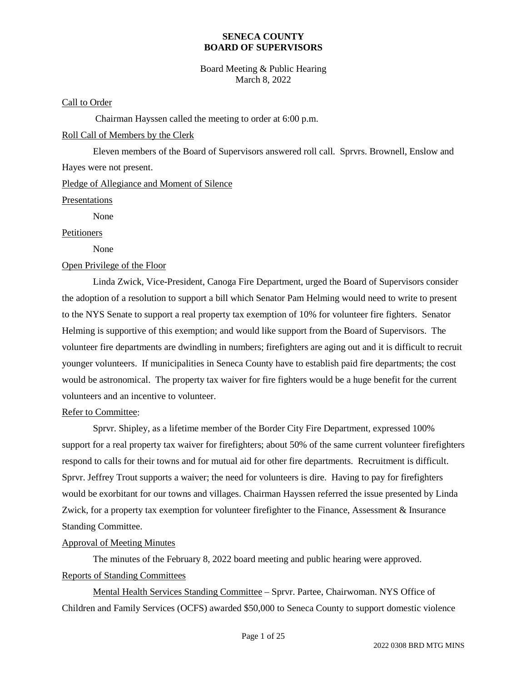Board Meeting & Public Hearing March 8, 2022

#### Call to Order

Chairman Hayssen called the meeting to order at 6:00 p.m.

#### Roll Call of Members by the Clerk

Eleven members of the Board of Supervisors answered roll call. Sprvrs. Brownell, Enslow and Hayes were not present.

Pledge of Allegiance and Moment of Silence

Presentations

None

#### Petitioners

None

#### Open Privilege of the Floor

Linda Zwick, Vice-President, Canoga Fire Department, urged the Board of Supervisors consider the adoption of a resolution to support a bill which Senator Pam Helming would need to write to present to the NYS Senate to support a real property tax exemption of 10% for volunteer fire fighters. Senator Helming is supportive of this exemption; and would like support from the Board of Supervisors. The volunteer fire departments are dwindling in numbers; firefighters are aging out and it is difficult to recruit younger volunteers. If municipalities in Seneca County have to establish paid fire departments; the cost would be astronomical. The property tax waiver for fire fighters would be a huge benefit for the current volunteers and an incentive to volunteer.

#### Refer to Committee:

Sprvr. Shipley, as a lifetime member of the Border City Fire Department, expressed 100% support for a real property tax waiver for firefighters; about 50% of the same current volunteer firefighters respond to calls for their towns and for mutual aid for other fire departments. Recruitment is difficult. Sprvr. Jeffrey Trout supports a waiver; the need for volunteers is dire. Having to pay for firefighters would be exorbitant for our towns and villages. Chairman Hayssen referred the issue presented by Linda Zwick, for a property tax exemption for volunteer firefighter to the Finance, Assessment & Insurance Standing Committee.

#### Approval of Meeting Minutes

The minutes of the February 8, 2022 board meeting and public hearing were approved. Reports of Standing Committees

Mental Health Services Standing Committee – Sprvr. Partee, Chairwoman. NYS Office of Children and Family Services (OCFS) awarded \$50,000 to Seneca County to support domestic violence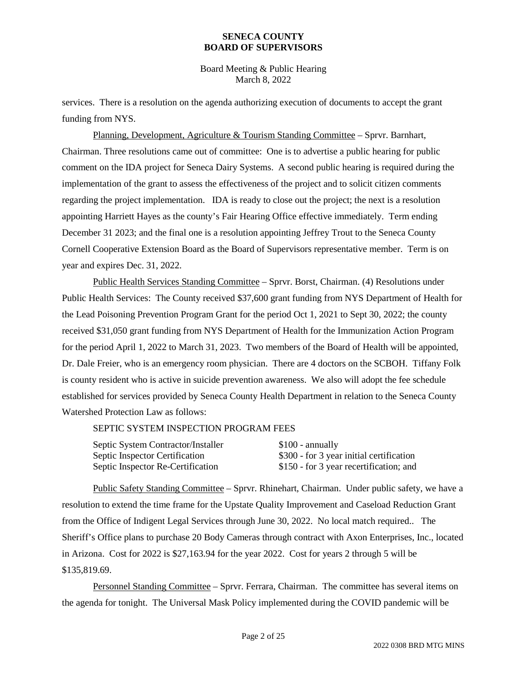Board Meeting & Public Hearing March 8, 2022

services. There is a resolution on the agenda authorizing execution of documents to accept the grant funding from NYS.

Planning, Development, Agriculture & Tourism Standing Committee – Sprvr. Barnhart, Chairman. Three resolutions came out of committee: One is to advertise a public hearing for public comment on the IDA project for Seneca Dairy Systems. A second public hearing is required during the implementation of the grant to assess the effectiveness of the project and to solicit citizen comments regarding the project implementation. IDA is ready to close out the project; the next is a resolution appointing Harriett Hayes as the county's Fair Hearing Office effective immediately. Term ending December 31 2023; and the final one is a resolution appointing Jeffrey Trout to the Seneca County Cornell Cooperative Extension Board as the Board of Supervisors representative member. Term is on year and expires Dec. 31, 2022.

Public Health Services Standing Committee – Sprvr. Borst, Chairman. (4) Resolutions under Public Health Services: The County received \$37,600 grant funding from NYS Department of Health for the Lead Poisoning Prevention Program Grant for the period Oct 1, 2021 to Sept 30, 2022; the county received \$31,050 grant funding from NYS Department of Health for the Immunization Action Program for the period April 1, 2022 to March 31, 2023. Two members of the Board of Health will be appointed, Dr. Dale Freier, who is an emergency room physician. There are 4 doctors on the SCBOH. Tiffany Folk is county resident who is active in suicide prevention awareness. We also will adopt the fee schedule established for services provided by Seneca County Health Department in relation to the Seneca County Watershed Protection Law as follows:

#### SEPTIC SYSTEM INSPECTION PROGRAM FEES

| Septic System Contractor/Installer | $$100$ - annually                        |
|------------------------------------|------------------------------------------|
| Septic Inspector Certification     | \$300 - for 3 year initial certification |
| Septic Inspector Re-Certification  | \$150 - for 3 year recertification; and  |

Public Safety Standing Committee – Sprvr. Rhinehart, Chairman. Under public safety, we have a resolution to extend the time frame for the Upstate Quality Improvement and Caseload Reduction Grant from the Office of Indigent Legal Services through June 30, 2022. No local match required.. The Sheriff's Office plans to purchase 20 Body Cameras through contract with Axon Enterprises, Inc., located in Arizona. Cost for 2022 is \$27,163.94 for the year 2022. Cost for years 2 through 5 will be \$135,819.69.

Personnel Standing Committee – Sprvr. Ferrara, Chairman. The committee has several items on the agenda for tonight. The Universal Mask Policy implemented during the COVID pandemic will be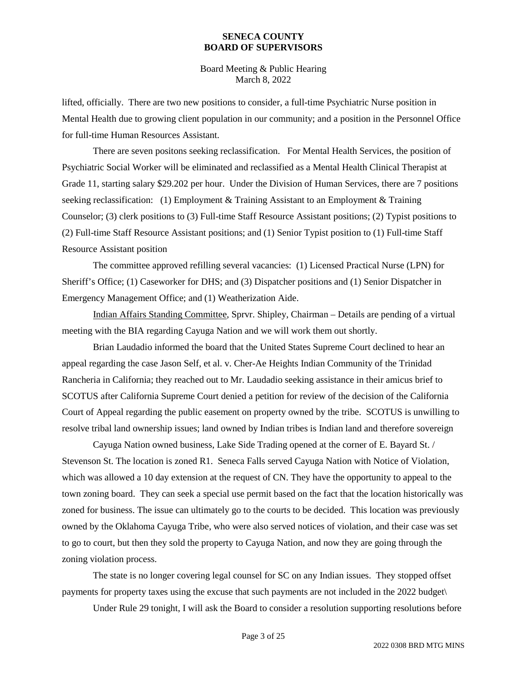Board Meeting & Public Hearing March 8, 2022

lifted, officially. There are two new positions to consider, a full-time Psychiatric Nurse position in Mental Health due to growing client population in our community; and a position in the Personnel Office for full-time Human Resources Assistant.

There are seven positons seeking reclassification. For Mental Health Services, the position of Psychiatric Social Worker will be eliminated and reclassified as a Mental Health Clinical Therapist at Grade 11, starting salary \$29.202 per hour. Under the Division of Human Services, there are 7 positions seeking reclassification: (1) Employment & Training Assistant to an Employment & Training Counselor; (3) clerk positions to (3) Full-time Staff Resource Assistant positions; (2) Typist positions to (2) Full-time Staff Resource Assistant positions; and (1) Senior Typist position to (1) Full-time Staff Resource Assistant position

The committee approved refilling several vacancies: (1) Licensed Practical Nurse (LPN) for Sheriff's Office; (1) Caseworker for DHS; and (3) Dispatcher positions and (1) Senior Dispatcher in Emergency Management Office; and (1) Weatherization Aide.

Indian Affairs Standing Committee, Sprvr. Shipley, Chairman – Details are pending of a virtual meeting with the BIA regarding Cayuga Nation and we will work them out shortly.

Brian Laudadio informed the board that the United States Supreme Court declined to hear an appeal regarding the case Jason Self, et al. v. Cher-Ae Heights Indian Community of the Trinidad Rancheria in California; they reached out to Mr. Laudadio seeking assistance in their amicus brief to SCOTUS after California Supreme Court denied a petition for review of the decision of the California Court of Appeal regarding the public easement on property owned by the tribe. SCOTUS is unwilling to resolve tribal land ownership issues; land owned by Indian tribes is Indian land and therefore sovereign

Cayuga Nation owned business, Lake Side Trading opened at the corner of E. Bayard St. / Stevenson St. The location is zoned R1. Seneca Falls served Cayuga Nation with Notice of Violation, which was allowed a 10 day extension at the request of CN. They have the opportunity to appeal to the town zoning board. They can seek a special use permit based on the fact that the location historically was zoned for business. The issue can ultimately go to the courts to be decided. This location was previously owned by the Oklahoma Cayuga Tribe, who were also served notices of violation, and their case was set to go to court, but then they sold the property to Cayuga Nation, and now they are going through the zoning violation process.

The state is no longer covering legal counsel for SC on any Indian issues. They stopped offset payments for property taxes using the excuse that such payments are not included in the 2022 budget\

Under Rule 29 tonight, I will ask the Board to consider a resolution supporting resolutions before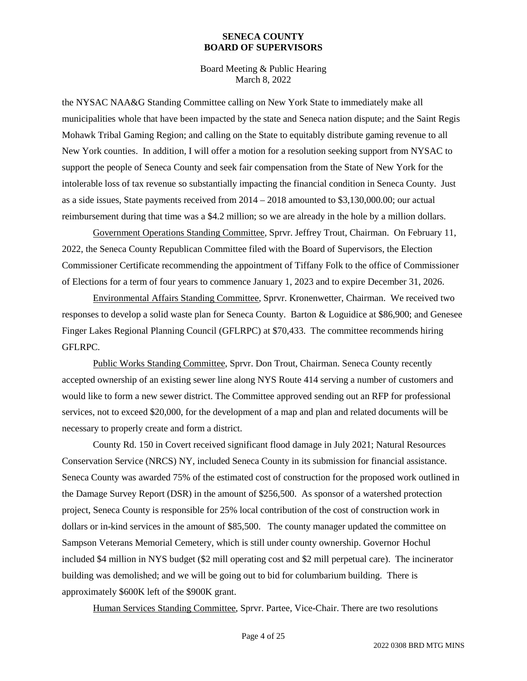Board Meeting & Public Hearing March 8, 2022

the NYSAC NAA&G Standing Committee calling on New York State to immediately make all municipalities whole that have been impacted by the state and Seneca nation dispute; and the Saint Regis Mohawk Tribal Gaming Region; and calling on the State to equitably distribute gaming revenue to all New York counties. In addition, I will offer a motion for a resolution seeking support from NYSAC to support the people of Seneca County and seek fair compensation from the State of New York for the intolerable loss of tax revenue so substantially impacting the financial condition in Seneca County. Just as a side issues, State payments received from 2014 – 2018 amounted to \$3,130,000.00; our actual reimbursement during that time was a \$4.2 million; so we are already in the hole by a million dollars.

Government Operations Standing Committee, Sprvr. Jeffrey Trout, Chairman. On February 11, 2022, the Seneca County Republican Committee filed with the Board of Supervisors, the Election Commissioner Certificate recommending the appointment of Tiffany Folk to the office of Commissioner of Elections for a term of four years to commence January 1, 2023 and to expire December 31, 2026.

Environmental Affairs Standing Committee, Sprvr. Kronenwetter, Chairman. We received two responses to develop a solid waste plan for Seneca County. Barton & Loguidice at \$86,900; and Genesee Finger Lakes Regional Planning Council (GFLRPC) at \$70,433. The committee recommends hiring GFLRPC.

Public Works Standing Committee, Sprvr. Don Trout, Chairman. Seneca County recently accepted ownership of an existing sewer line along NYS Route 414 serving a number of customers and would like to form a new sewer district. The Committee approved sending out an RFP for professional services, not to exceed \$20,000, for the development of a map and plan and related documents will be necessary to properly create and form a district.

County Rd. 150 in Covert received significant flood damage in July 2021; Natural Resources Conservation Service (NRCS) NY, included Seneca County in its submission for financial assistance. Seneca County was awarded 75% of the estimated cost of construction for the proposed work outlined in the Damage Survey Report (DSR) in the amount of \$256,500. As sponsor of a watershed protection project, Seneca County is responsible for 25% local contribution of the cost of construction work in dollars or in-kind services in the amount of \$85,500. The county manager updated the committee on Sampson Veterans Memorial Cemetery, which is still under county ownership. Governor Hochul included \$4 million in NYS budget (\$2 mill operating cost and \$2 mill perpetual care). The incinerator building was demolished; and we will be going out to bid for columbarium building. There is approximately \$600K left of the \$900K grant.

Human Services Standing Committee, Sprvr. Partee, Vice-Chair. There are two resolutions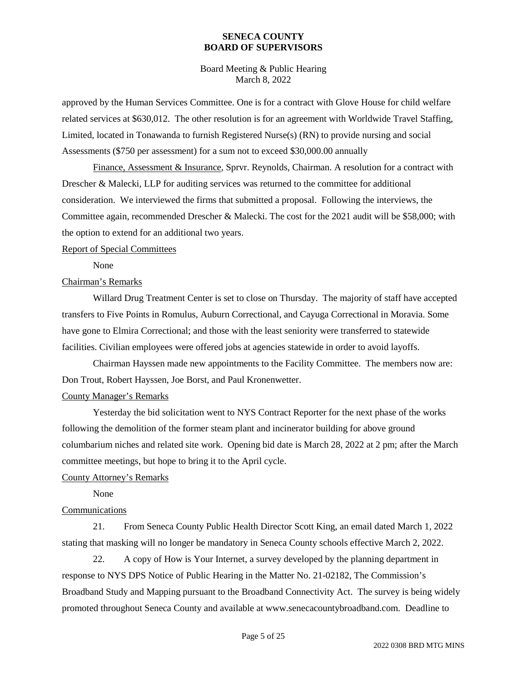Board Meeting & Public Hearing March 8, 2022

approved by the Human Services Committee. One is for a contract with Glove House for child welfare related services at \$630,012. The other resolution is for an agreement with Worldwide Travel Staffing, Limited, located in Tonawanda to furnish Registered Nurse(s) (RN) to provide nursing and social Assessments (\$750 per assessment) for a sum not to exceed \$30,000.00 annually

Finance, Assessment & Insurance, Sprvr. Reynolds, Chairman. A resolution for a contract with Drescher & Malecki, LLP for auditing services was returned to the committee for additional consideration. We interviewed the firms that submitted a proposal. Following the interviews, the Committee again, recommended Drescher & Malecki. The cost for the 2021 audit will be \$58,000; with the option to extend for an additional two years.

#### Report of Special Committees

None

#### Chairman's Remarks

Willard Drug Treatment Center is set to close on Thursday. The majority of staff have accepted transfers to Five Points in Romulus, Auburn Correctional, and Cayuga Correctional in Moravia. Some have gone to Elmira Correctional; and those with the least seniority were transferred to statewide facilities. Civilian employees were offered jobs at agencies statewide in order to avoid layoffs.

Chairman Hayssen made new appointments to the Facility Committee. The members now are: Don Trout, Robert Hayssen, Joe Borst, and Paul Kronenwetter.

#### County Manager's Remarks

Yesterday the bid solicitation went to NYS Contract Reporter for the next phase of the works following the demolition of the former steam plant and incinerator building for above ground columbarium niches and related site work. Opening bid date is March 28, 2022 at 2 pm; after the March committee meetings, but hope to bring it to the April cycle.

#### County Attorney's Remarks

None

#### Communications

21. From Seneca County Public Health Director Scott King, an email dated March 1, 2022 stating that masking will no longer be mandatory in Seneca County schools effective March 2, 2022.

22. A copy of How is Your Internet, a survey developed by the planning department in response to NYS DPS Notice of Public Hearing in the Matter No. 21-02182, The Commission's Broadband Study and Mapping pursuant to the Broadband Connectivity Act. The survey is being widely promoted throughout Seneca County and available at www.senecacountybroadband.com. Deadline to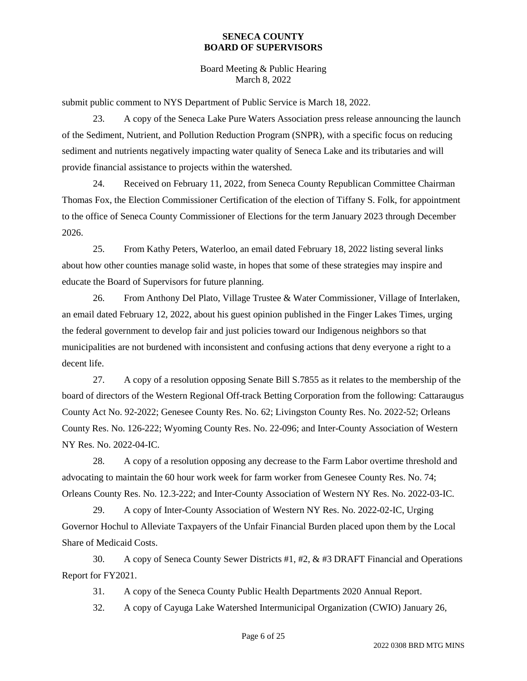Board Meeting & Public Hearing March 8, 2022

submit public comment to NYS Department of Public Service is March 18, 2022.

23. A copy of the Seneca Lake Pure Waters Association press release announcing the launch of the Sediment, Nutrient, and Pollution Reduction Program (SNPR), with a specific focus on reducing sediment and nutrients negatively impacting water quality of Seneca Lake and its tributaries and will provide financial assistance to projects within the watershed.

24. Received on February 11, 2022, from Seneca County Republican Committee Chairman Thomas Fox, the Election Commissioner Certification of the election of Tiffany S. Folk, for appointment to the office of Seneca County Commissioner of Elections for the term January 2023 through December 2026.

25. From Kathy Peters, Waterloo, an email dated February 18, 2022 listing several links about how other counties manage solid waste, in hopes that some of these strategies may inspire and educate the Board of Supervisors for future planning.

26. From Anthony Del Plato, Village Trustee & Water Commissioner, Village of Interlaken, an email dated February 12, 2022, about his guest opinion published in the Finger Lakes Times, urging the federal government to develop fair and just policies toward our Indigenous neighbors so that municipalities are not burdened with inconsistent and confusing actions that deny everyone a right to a decent life.

27. A copy of a resolution opposing Senate Bill S.7855 as it relates to the membership of the board of directors of the Western Regional Off-track Betting Corporation from the following: Cattaraugus County Act No. 92-2022; Genesee County Res. No. 62; Livingston County Res. No. 2022-52; Orleans County Res. No. 126-222; Wyoming County Res. No. 22-096; and Inter-County Association of Western NY Res. No. 2022-04-IC.

28. A copy of a resolution opposing any decrease to the Farm Labor overtime threshold and advocating to maintain the 60 hour work week for farm worker from Genesee County Res. No. 74; Orleans County Res. No. 12.3-222; and Inter-County Association of Western NY Res. No. 2022-03-IC.

29. A copy of Inter-County Association of Western NY Res. No. 2022-02-IC, Urging Governor Hochul to Alleviate Taxpayers of the Unfair Financial Burden placed upon them by the Local Share of Medicaid Costs.

30. A copy of Seneca County Sewer Districts #1, #2, & #3 DRAFT Financial and Operations Report for FY2021.

31. A copy of the Seneca County Public Health Departments 2020 Annual Report.

32. A copy of Cayuga Lake Watershed Intermunicipal Organization (CWIO) January 26,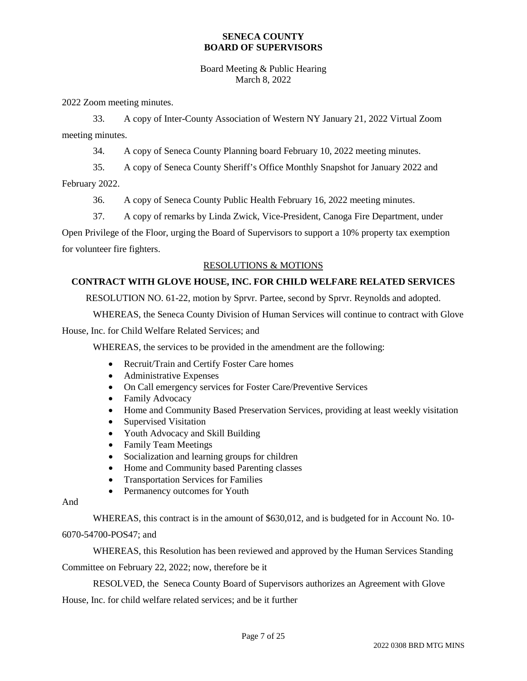#### Board Meeting & Public Hearing March 8, 2022

2022 Zoom meeting minutes.

33. A copy of Inter-County Association of Western NY January 21, 2022 Virtual Zoom meeting minutes.

34. A copy of Seneca County Planning board February 10, 2022 meeting minutes.

35. A copy of Seneca County Sheriff's Office Monthly Snapshot for January 2022 and February 2022.

36. A copy of Seneca County Public Health February 16, 2022 meeting minutes.

37. A copy of remarks by Linda Zwick, Vice-President, Canoga Fire Department, under

Open Privilege of the Floor, urging the Board of Supervisors to support a 10% property tax exemption for volunteer fire fighters.

### RESOLUTIONS & MOTIONS

### **CONTRACT WITH GLOVE HOUSE, INC. FOR CHILD WELFARE RELATED SERVICES**

RESOLUTION NO. 61-22, motion by Sprvr. Partee, second by Sprvr. Reynolds and adopted.

WHEREAS, the Seneca County Division of Human Services will continue to contract with Glove

House, Inc. for Child Welfare Related Services; and

WHEREAS, the services to be provided in the amendment are the following:

- Recruit/Train and Certify Foster Care homes
- Administrative Expenses
- On Call emergency services for Foster Care/Preventive Services
- Family Advocacy
- Home and Community Based Preservation Services, providing at least weekly visitation
- Supervised Visitation
- Youth Advocacy and Skill Building
- Family Team Meetings
- Socialization and learning groups for children
- Home and Community based Parenting classes
- Transportation Services for Families
- Permanency outcomes for Youth

And

WHEREAS, this contract is in the amount of \$630,012, and is budgeted for in Account No. 10- 6070-54700-POS47; and

WHEREAS, this Resolution has been reviewed and approved by the Human Services Standing Committee on February 22, 2022; now, therefore be it

RESOLVED, the Seneca County Board of Supervisors authorizes an Agreement with Glove House, Inc. for child welfare related services; and be it further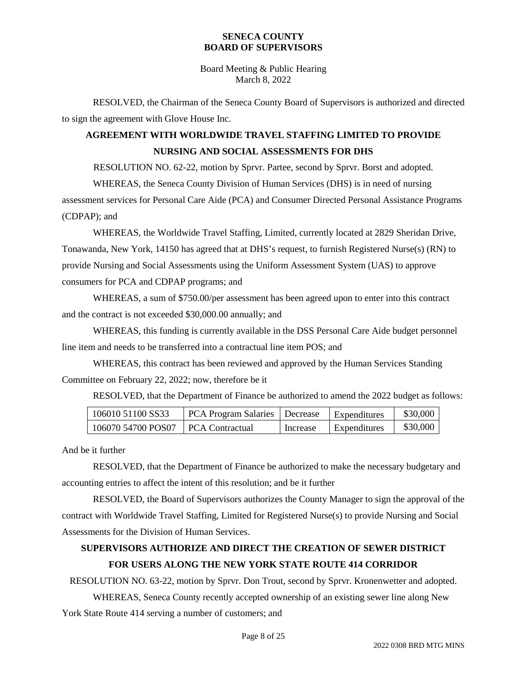Board Meeting & Public Hearing March 8, 2022

RESOLVED, the Chairman of the Seneca County Board of Supervisors is authorized and directed to sign the agreement with Glove House Inc.

# **AGREEMENT WITH WORLDWIDE TRAVEL STAFFING LIMITED TO PROVIDE NURSING AND SOCIAL ASSESSMENTS FOR DHS**

RESOLUTION NO. 62-22, motion by Sprvr. Partee, second by Sprvr. Borst and adopted.

WHEREAS, the Seneca County Division of Human Services (DHS) is in need of nursing assessment services for Personal Care Aide (PCA) and Consumer Directed Personal Assistance Programs (CDPAP); and

WHEREAS, the Worldwide Travel Staffing, Limited, currently located at 2829 Sheridan Drive, Tonawanda, New York, 14150 has agreed that at DHS's request, to furnish Registered Nurse(s) (RN) to provide Nursing and Social Assessments using the Uniform Assessment System (UAS) to approve consumers for PCA and CDPAP programs; and

WHEREAS, a sum of \$750.00/per assessment has been agreed upon to enter into this contract and the contract is not exceeded \$30,000.00 annually; and

WHEREAS, this funding is currently available in the DSS Personal Care Aide budget personnel line item and needs to be transferred into a contractual line item POS; and

WHEREAS, this contract has been reviewed and approved by the Human Services Standing Committee on February 22, 2022; now, therefore be it

RESOLVED, that the Department of Finance be authorized to amend the 2022 budget as follows:

| 106010 51100 SS33  | PCA Program Salaries   Decrease |          | Expenditures | \$30,000 |
|--------------------|---------------------------------|----------|--------------|----------|
| 106070 54700 POS07 | <b>PCA Contractual</b>          | Increase | Expenditures | \$30,000 |

And be it further

RESOLVED, that the Department of Finance be authorized to make the necessary budgetary and accounting entries to affect the intent of this resolution; and be it further

RESOLVED, the Board of Supervisors authorizes the County Manager to sign the approval of the contract with Worldwide Travel Staffing, Limited for Registered Nurse(s) to provide Nursing and Social Assessments for the Division of Human Services.

### **SUPERVISORS AUTHORIZE AND DIRECT THE CREATION OF SEWER DISTRICT FOR USERS ALONG THE NEW YORK STATE ROUTE 414 CORRIDOR**

RESOLUTION NO. 63-22, motion by Sprvr. Don Trout, second by Sprvr. Kronenwetter and adopted.

WHEREAS, Seneca County recently accepted ownership of an existing sewer line along New York State Route 414 serving a number of customers; and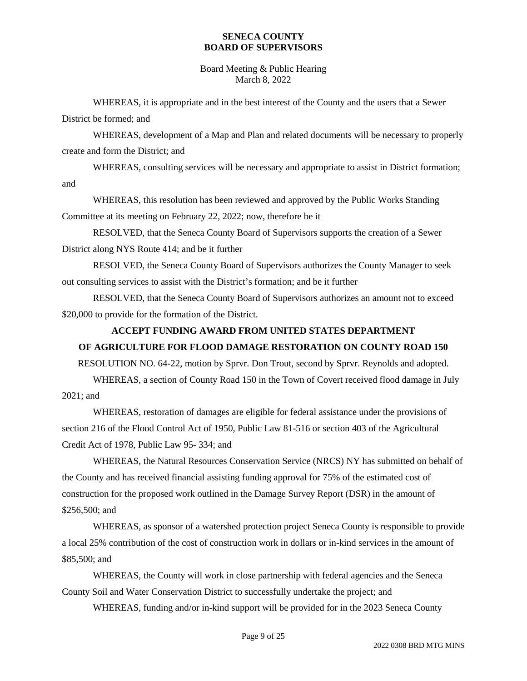Board Meeting & Public Hearing March 8, 2022

WHEREAS, it is appropriate and in the best interest of the County and the users that a Sewer District be formed; and

WHEREAS, development of a Map and Plan and related documents will be necessary to properly create and form the District; and

WHEREAS, consulting services will be necessary and appropriate to assist in District formation; and

WHEREAS, this resolution has been reviewed and approved by the Public Works Standing Committee at its meeting on February 22, 2022; now, therefore be it

RESOLVED, that the Seneca County Board of Supervisors supports the creation of a Sewer District along NYS Route 414; and be it further

RESOLVED, the Seneca County Board of Supervisors authorizes the County Manager to seek out consulting services to assist with the District's formation; and be it further

RESOLVED, that the Seneca County Board of Supervisors authorizes an amount not to exceed \$20,000 to provide for the formation of the District.

### **ACCEPT FUNDING AWARD FROM UNITED STATES DEPARTMENT**

### **OF AGRICULTURE FOR FLOOD DAMAGE RESTORATION ON COUNTY ROAD 150**

RESOLUTION NO. 64-22, motion by Sprvr. Don Trout, second by Sprvr. Reynolds and adopted.

WHEREAS, a section of County Road 150 in the Town of Covert received flood damage in July 2021; and

WHEREAS, restoration of damages are eligible for federal assistance under the provisions of section 216 of the Flood Control Act of 1950, Public Law 81-516 or section 403 of the Agricultural Credit Act of 1978, Public Law 95- 334; and

WHEREAS, the Natural Resources Conservation Service (NRCS) NY has submitted on behalf of the County and has received financial assisting funding approval for 75% of the estimated cost of construction for the proposed work outlined in the Damage Survey Report (DSR) in the amount of \$256,500; and

WHEREAS, as sponsor of a watershed protection project Seneca County is responsible to provide a local 25% contribution of the cost of construction work in dollars or in-kind services in the amount of \$85,500; and

WHEREAS, the County will work in close partnership with federal agencies and the Seneca County Soil and Water Conservation District to successfully undertake the project; and

WHEREAS, funding and/or in-kind support will be provided for in the 2023 Seneca County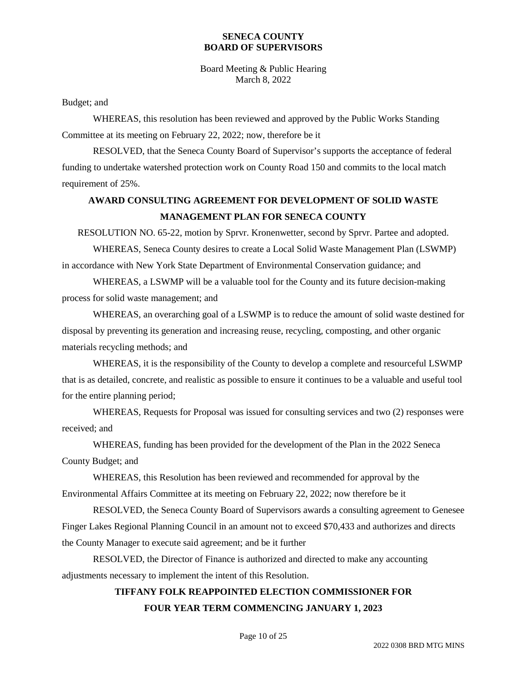Board Meeting & Public Hearing March 8, 2022

Budget; and

WHEREAS, this resolution has been reviewed and approved by the Public Works Standing Committee at its meeting on February 22, 2022; now, therefore be it

RESOLVED, that the Seneca County Board of Supervisor's supports the acceptance of federal funding to undertake watershed protection work on County Road 150 and commits to the local match requirement of 25%.

### **AWARD CONSULTING AGREEMENT FOR DEVELOPMENT OF SOLID WASTE MANAGEMENT PLAN FOR SENECA COUNTY**

RESOLUTION NO. 65-22, motion by Sprvr. Kronenwetter, second by Sprvr. Partee and adopted.

WHEREAS, Seneca County desires to create a Local Solid Waste Management Plan (LSWMP) in accordance with New York State Department of Environmental Conservation guidance; and

WHEREAS, a LSWMP will be a valuable tool for the County and its future decision-making process for solid waste management; and

WHEREAS, an overarching goal of a LSWMP is to reduce the amount of solid waste destined for disposal by preventing its generation and increasing reuse, recycling, composting, and other organic materials recycling methods; and

WHEREAS, it is the responsibility of the County to develop a complete and resourceful LSWMP that is as detailed, concrete, and realistic as possible to ensure it continues to be a valuable and useful tool for the entire planning period;

WHEREAS, Requests for Proposal was issued for consulting services and two (2) responses were received; and

WHEREAS, funding has been provided for the development of the Plan in the 2022 Seneca County Budget; and

WHEREAS, this Resolution has been reviewed and recommended for approval by the Environmental Affairs Committee at its meeting on February 22, 2022; now therefore be it

RESOLVED, the Seneca County Board of Supervisors awards a consulting agreement to Genesee Finger Lakes Regional Planning Council in an amount not to exceed \$70,433 and authorizes and directs the County Manager to execute said agreement; and be it further

RESOLVED, the Director of Finance is authorized and directed to make any accounting adjustments necessary to implement the intent of this Resolution.

# **TIFFANY FOLK REAPPOINTED ELECTION COMMISSIONER FOR FOUR YEAR TERM COMMENCING JANUARY 1, 2023**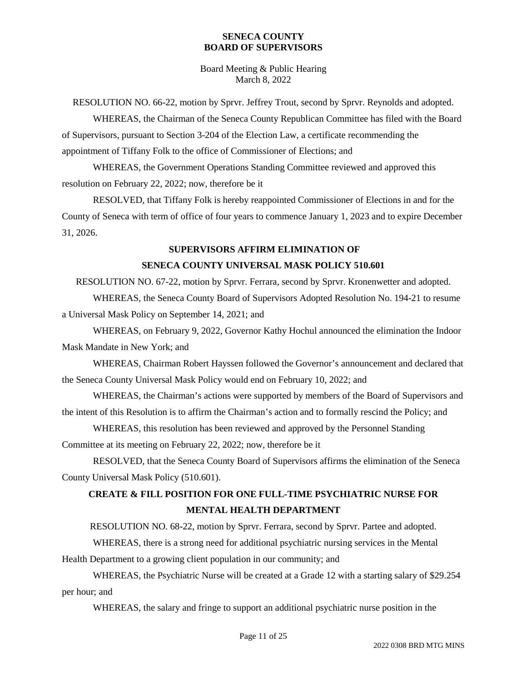Board Meeting & Public Hearing March 8, 2022

RESOLUTION NO. 66-22, motion by Sprvr. Jeffrey Trout, second by Sprvr. Reynolds and adopted.

WHEREAS, the Chairman of the Seneca County Republican Committee has filed with the Board of Supervisors, pursuant to Section 3-204 of the Election Law, a certificate recommending the appointment of Tiffany Folk to the office of Commissioner of Elections; and

WHEREAS, the Government Operations Standing Committee reviewed and approved this resolution on February 22, 2022; now, therefore be it

RESOLVED, that Tiffany Folk is hereby reappointed Commissioner of Elections in and for the County of Seneca with term of office of four years to commence January 1, 2023 and to expire December 31, 2026.

#### **SUPERVISORS AFFIRM ELIMINATION OF**

#### **SENECA COUNTY UNIVERSAL MASK POLICY 510.601**

RESOLUTION NO. 67-22, motion by Sprvr. Ferrara, second by Sprvr. Kronenwetter and adopted. WHEREAS, the Seneca County Board of Supervisors Adopted Resolution No. 194-21 to resume a Universal Mask Policy on September 14, 2021; and

WHEREAS, on February 9, 2022, Governor Kathy Hochul announced the elimination the Indoor Mask Mandate in New York; and

WHEREAS, Chairman Robert Hayssen followed the Governor's announcement and declared that the Seneca County Universal Mask Policy would end on February 10, 2022; and

WHEREAS, the Chairman's actions were supported by members of the Board of Supervisors and the intent of this Resolution is to affirm the Chairman's action and to formally rescind the Policy; and

WHEREAS, this resolution has been reviewed and approved by the Personnel Standing

Committee at its meeting on February 22, 2022; now, therefore be it

RESOLVED, that the Seneca County Board of Supervisors affirms the elimination of the Seneca County Universal Mask Policy (510.601).

### **CREATE & FILL POSITION FOR ONE FULL-TIME PSYCHIATRIC NURSE FOR MENTAL HEALTH DEPARTMENT**

RESOLUTION NO. 68-22, motion by Sprvr. Ferrara, second by Sprvr. Partee and adopted.

WHEREAS, there is a strong need for additional psychiatric nursing services in the Mental

Health Department to a growing client population in our community; and

WHEREAS, the Psychiatric Nurse will be created at a Grade 12 with a starting salary of \$29.254 per hour; and

WHEREAS, the salary and fringe to support an additional psychiatric nurse position in the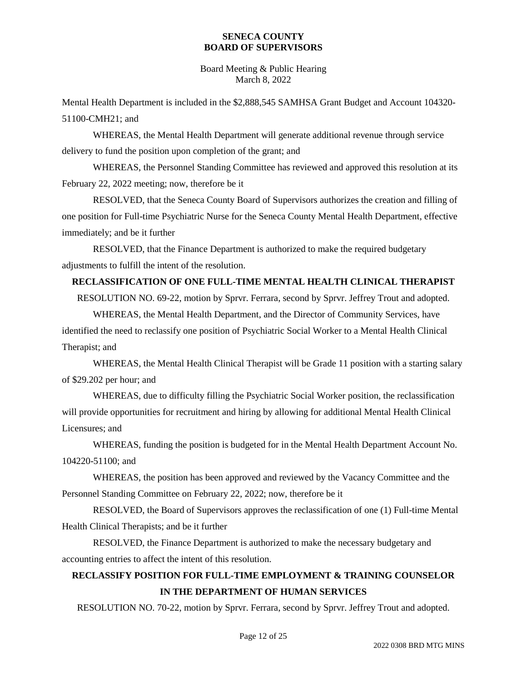Board Meeting & Public Hearing March 8, 2022

Mental Health Department is included in the \$2,888,545 SAMHSA Grant Budget and Account 104320- 51100-CMH21; and

WHEREAS, the Mental Health Department will generate additional revenue through service delivery to fund the position upon completion of the grant; and

WHEREAS, the Personnel Standing Committee has reviewed and approved this resolution at its February 22, 2022 meeting; now, therefore be it

RESOLVED, that the Seneca County Board of Supervisors authorizes the creation and filling of one position for Full-time Psychiatric Nurse for the Seneca County Mental Health Department, effective immediately; and be it further

RESOLVED, that the Finance Department is authorized to make the required budgetary adjustments to fulfill the intent of the resolution.

### **RECLASSIFICATION OF ONE FULL-TIME MENTAL HEALTH CLINICAL THERAPIST**

RESOLUTION NO. 69-22, motion by Sprvr. Ferrara, second by Sprvr. Jeffrey Trout and adopted.

WHEREAS, the Mental Health Department, and the Director of Community Services, have identified the need to reclassify one position of Psychiatric Social Worker to a Mental Health Clinical Therapist; and

WHEREAS, the Mental Health Clinical Therapist will be Grade 11 position with a starting salary of \$29.202 per hour; and

WHEREAS, due to difficulty filling the Psychiatric Social Worker position, the reclassification will provide opportunities for recruitment and hiring by allowing for additional Mental Health Clinical Licensures; and

WHEREAS, funding the position is budgeted for in the Mental Health Department Account No. 104220-51100; and

WHEREAS, the position has been approved and reviewed by the Vacancy Committee and the Personnel Standing Committee on February 22, 2022; now, therefore be it

RESOLVED, the Board of Supervisors approves the reclassification of one (1) Full-time Mental Health Clinical Therapists; and be it further

RESOLVED, the Finance Department is authorized to make the necessary budgetary and accounting entries to affect the intent of this resolution.

### **RECLASSIFY POSITION FOR FULL-TIME EMPLOYMENT & TRAINING COUNSELOR IN THE DEPARTMENT OF HUMAN SERVICES**

RESOLUTION NO. 70-22, motion by Sprvr. Ferrara, second by Sprvr. Jeffrey Trout and adopted.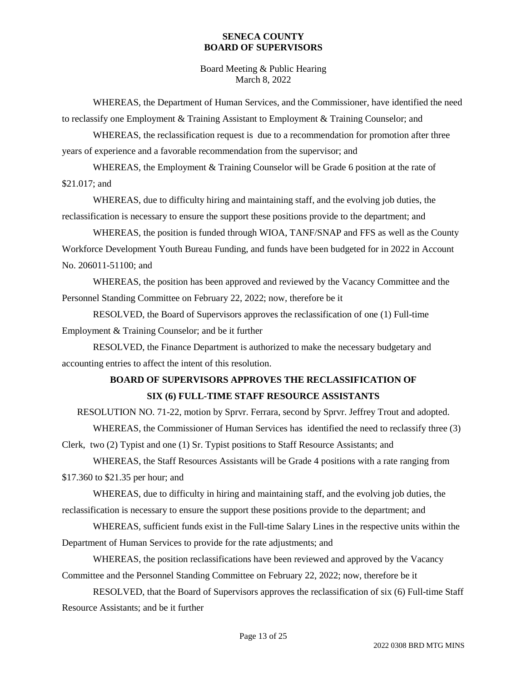Board Meeting & Public Hearing March 8, 2022

WHEREAS, the Department of Human Services, and the Commissioner, have identified the need to reclassify one Employment & Training Assistant to Employment & Training Counselor; and

WHEREAS, the reclassification request is due to a recommendation for promotion after three years of experience and a favorable recommendation from the supervisor; and

WHEREAS, the Employment & Training Counselor will be Grade 6 position at the rate of \$21.017; and

WHEREAS, due to difficulty hiring and maintaining staff, and the evolving job duties, the reclassification is necessary to ensure the support these positions provide to the department; and

WHEREAS, the position is funded through WIOA, TANF/SNAP and FFS as well as the County Workforce Development Youth Bureau Funding, and funds have been budgeted for in 2022 in Account No. 206011-51100; and

WHEREAS, the position has been approved and reviewed by the Vacancy Committee and the Personnel Standing Committee on February 22, 2022; now, therefore be it

RESOLVED, the Board of Supervisors approves the reclassification of one (1) Full-time Employment & Training Counselor; and be it further

RESOLVED, the Finance Department is authorized to make the necessary budgetary and accounting entries to affect the intent of this resolution.

### **BOARD OF SUPERVISORS APPROVES THE RECLASSIFICATION OF SIX (6) FULL-TIME STAFF RESOURCE ASSISTANTS**

RESOLUTION NO. 71-22, motion by Sprvr. Ferrara, second by Sprvr. Jeffrey Trout and adopted. WHEREAS, the Commissioner of Human Services has identified the need to reclassify three (3)

Clerk, two (2) Typist and one (1) Sr. Typist positions to Staff Resource Assistants; and

WHEREAS, the Staff Resources Assistants will be Grade 4 positions with a rate ranging from \$17.360 to \$21.35 per hour; and

WHEREAS, due to difficulty in hiring and maintaining staff, and the evolving job duties, the reclassification is necessary to ensure the support these positions provide to the department; and

WHEREAS, sufficient funds exist in the Full-time Salary Lines in the respective units within the Department of Human Services to provide for the rate adjustments; and

WHEREAS, the position reclassifications have been reviewed and approved by the Vacancy Committee and the Personnel Standing Committee on February 22, 2022; now, therefore be it

RESOLVED, that the Board of Supervisors approves the reclassification of six (6) Full-time Staff Resource Assistants; and be it further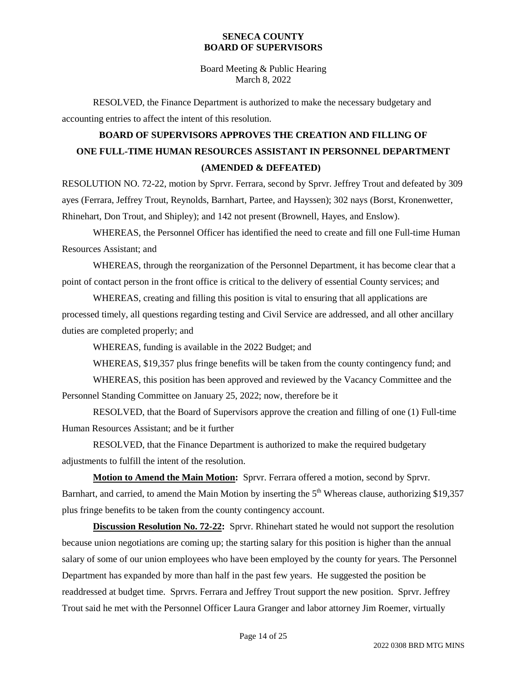Board Meeting & Public Hearing March 8, 2022

RESOLVED, the Finance Department is authorized to make the necessary budgetary and accounting entries to affect the intent of this resolution.

# **BOARD OF SUPERVISORS APPROVES THE CREATION AND FILLING OF ONE FULL-TIME HUMAN RESOURCES ASSISTANT IN PERSONNEL DEPARTMENT (AMENDED & DEFEATED)**

RESOLUTION NO. 72-22, motion by Sprvr. Ferrara, second by Sprvr. Jeffrey Trout and defeated by 309 ayes (Ferrara, Jeffrey Trout, Reynolds, Barnhart, Partee, and Hayssen); 302 nays (Borst, Kronenwetter, Rhinehart, Don Trout, and Shipley); and 142 not present (Brownell, Hayes, and Enslow).

WHEREAS, the Personnel Officer has identified the need to create and fill one Full-time Human Resources Assistant; and

WHEREAS, through the reorganization of the Personnel Department, it has become clear that a point of contact person in the front office is critical to the delivery of essential County services; and

WHEREAS, creating and filling this position is vital to ensuring that all applications are processed timely, all questions regarding testing and Civil Service are addressed, and all other ancillary duties are completed properly; and

WHEREAS, funding is available in the 2022 Budget; and

WHEREAS, \$19,357 plus fringe benefits will be taken from the county contingency fund; and

WHEREAS, this position has been approved and reviewed by the Vacancy Committee and the Personnel Standing Committee on January 25, 2022; now, therefore be it

RESOLVED, that the Board of Supervisors approve the creation and filling of one (1) Full-time Human Resources Assistant; and be it further

RESOLVED, that the Finance Department is authorized to make the required budgetary adjustments to fulfill the intent of the resolution.

**Motion to Amend the Main Motion:** Sprvr. Ferrara offered a motion, second by Sprvr. Barnhart, and carried, to amend the Main Motion by inserting the  $5<sup>th</sup>$  Whereas clause, authorizing \$19,357 plus fringe benefits to be taken from the county contingency account.

**Discussion Resolution No. 72-22:** Sprvr. Rhinehart stated he would not support the resolution because union negotiations are coming up; the starting salary for this position is higher than the annual salary of some of our union employees who have been employed by the county for years. The Personnel Department has expanded by more than half in the past few years. He suggested the position be readdressed at budget time. Sprvrs. Ferrara and Jeffrey Trout support the new position. Sprvr. Jeffrey Trout said he met with the Personnel Officer Laura Granger and labor attorney Jim Roemer, virtually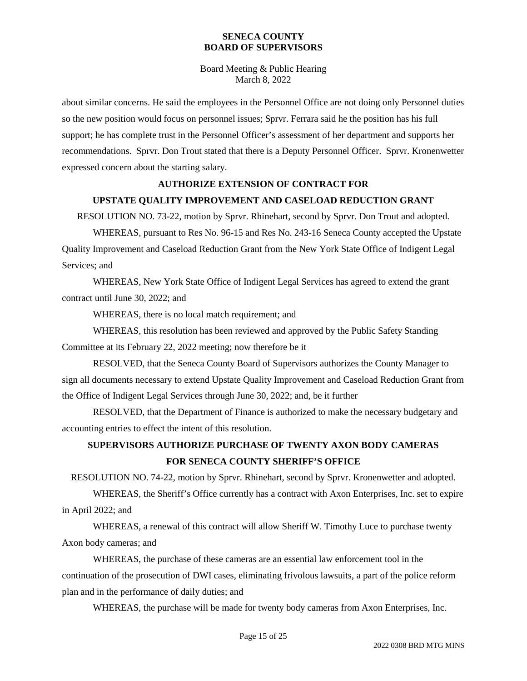Board Meeting & Public Hearing March 8, 2022

about similar concerns. He said the employees in the Personnel Office are not doing only Personnel duties so the new position would focus on personnel issues; Sprvr. Ferrara said he the position has his full support; he has complete trust in the Personnel Officer's assessment of her department and supports her recommendations. Sprvr. Don Trout stated that there is a Deputy Personnel Officer. Sprvr. Kronenwetter expressed concern about the starting salary.

#### **AUTHORIZE EXTENSION OF CONTRACT FOR**

#### **UPSTATE QUALITY IMPROVEMENT AND CASELOAD REDUCTION GRANT**

RESOLUTION NO. 73-22, motion by Sprvr. Rhinehart, second by Sprvr. Don Trout and adopted.

WHEREAS, pursuant to Res No. 96-15 and Res No. 243-16 Seneca County accepted the Upstate Quality Improvement and Caseload Reduction Grant from the New York State Office of Indigent Legal Services; and

WHEREAS, New York State Office of Indigent Legal Services has agreed to extend the grant contract until June 30, 2022; and

WHEREAS, there is no local match requirement; and

WHEREAS, this resolution has been reviewed and approved by the Public Safety Standing Committee at its February 22, 2022 meeting; now therefore be it

RESOLVED, that the Seneca County Board of Supervisors authorizes the County Manager to sign all documents necessary to extend Upstate Quality Improvement and Caseload Reduction Grant from the Office of Indigent Legal Services through June 30, 2022; and, be it further

RESOLVED, that the Department of Finance is authorized to make the necessary budgetary and accounting entries to effect the intent of this resolution.

### **SUPERVISORS AUTHORIZE PURCHASE OF TWENTY AXON BODY CAMERAS FOR SENECA COUNTY SHERIFF'S OFFICE**

RESOLUTION NO. 74-22, motion by Sprvr. Rhinehart, second by Sprvr. Kronenwetter and adopted.

WHEREAS, the Sheriff's Office currently has a contract with Axon Enterprises, Inc. set to expire in April 2022; and

WHEREAS, a renewal of this contract will allow Sheriff W. Timothy Luce to purchase twenty Axon body cameras; and

WHEREAS, the purchase of these cameras are an essential law enforcement tool in the continuation of the prosecution of DWI cases, eliminating frivolous lawsuits, a part of the police reform plan and in the performance of daily duties; and

WHEREAS, the purchase will be made for twenty body cameras from Axon Enterprises, Inc.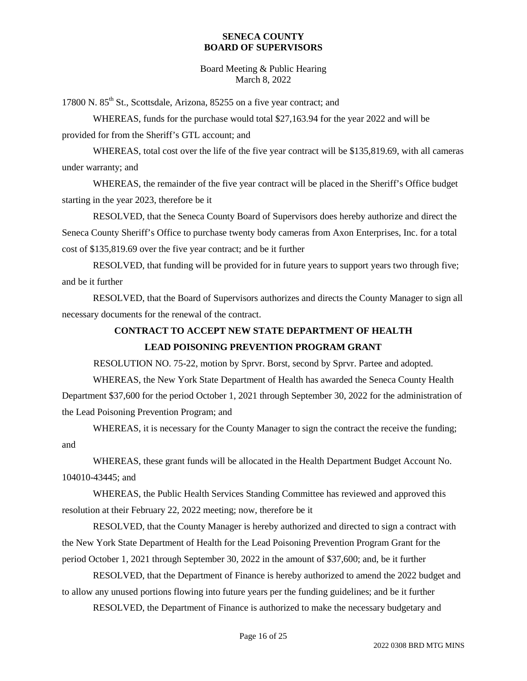Board Meeting & Public Hearing March 8, 2022

17800 N. 85<sup>th</sup> St., Scottsdale, Arizona, 85255 on a five year contract; and

WHEREAS, funds for the purchase would total \$27,163.94 for the year 2022 and will be provided for from the Sheriff's GTL account; and

WHEREAS, total cost over the life of the five year contract will be \$135,819.69, with all cameras under warranty; and

WHEREAS, the remainder of the five year contract will be placed in the Sheriff's Office budget starting in the year 2023, therefore be it

RESOLVED, that the Seneca County Board of Supervisors does hereby authorize and direct the Seneca County Sheriff's Office to purchase twenty body cameras from Axon Enterprises, Inc. for a total cost of \$135,819.69 over the five year contract; and be it further

RESOLVED, that funding will be provided for in future years to support years two through five; and be it further

RESOLVED, that the Board of Supervisors authorizes and directs the County Manager to sign all necessary documents for the renewal of the contract.

### **CONTRACT TO ACCEPT NEW STATE DEPARTMENT OF HEALTH LEAD POISONING PREVENTION PROGRAM GRANT**

RESOLUTION NO. 75-22, motion by Sprvr. Borst, second by Sprvr. Partee and adopted.

WHEREAS, the New York State Department of Health has awarded the Seneca County Health Department \$37,600 for the period October 1, 2021 through September 30, 2022 for the administration of the Lead Poisoning Prevention Program; and

WHEREAS, it is necessary for the County Manager to sign the contract the receive the funding; and

WHEREAS, these grant funds will be allocated in the Health Department Budget Account No. 104010-43445; and

WHEREAS, the Public Health Services Standing Committee has reviewed and approved this resolution at their February 22, 2022 meeting; now, therefore be it

RESOLVED, that the County Manager is hereby authorized and directed to sign a contract with the New York State Department of Health for the Lead Poisoning Prevention Program Grant for the period October 1, 2021 through September 30, 2022 in the amount of \$37,600; and, be it further

RESOLVED, that the Department of Finance is hereby authorized to amend the 2022 budget and to allow any unused portions flowing into future years per the funding guidelines; and be it further

RESOLVED, the Department of Finance is authorized to make the necessary budgetary and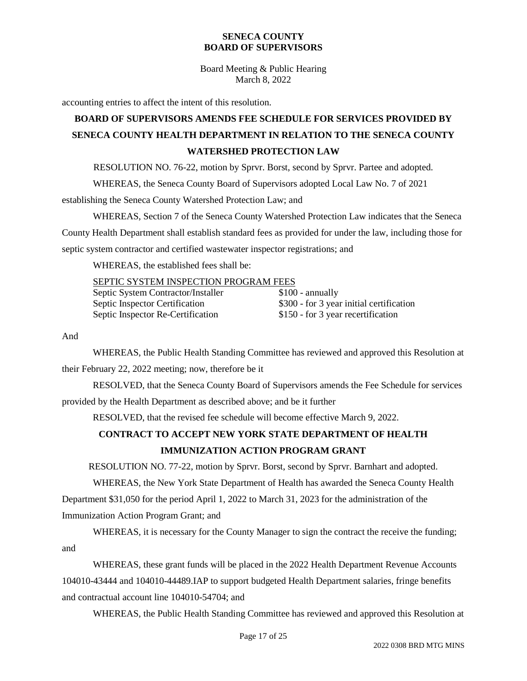Board Meeting & Public Hearing March 8, 2022

accounting entries to affect the intent of this resolution.

# **BOARD OF SUPERVISORS AMENDS FEE SCHEDULE FOR SERVICES PROVIDED BY SENECA COUNTY HEALTH DEPARTMENT IN RELATION TO THE SENECA COUNTY WATERSHED PROTECTION LAW**

RESOLUTION NO. 76-22, motion by Sprvr. Borst, second by Sprvr. Partee and adopted.

WHEREAS, the Seneca County Board of Supervisors adopted Local Law No. 7 of 2021

establishing the Seneca County Watershed Protection Law; and

WHEREAS, Section 7 of the Seneca County Watershed Protection Law indicates that the Seneca County Health Department shall establish standard fees as provided for under the law, including those for septic system contractor and certified wastewater inspector registrations; and

WHEREAS, the established fees shall be:

#### SEPTIC SYSTEM INSPECTION PROGRAM FEES

| Septic System Contractor/Installer | $$100$ - annually                        |
|------------------------------------|------------------------------------------|
| Septic Inspector Certification     | \$300 - for 3 year initial certification |
| Septic Inspector Re-Certification  | \$150 - for 3 year recertification       |

And

WHEREAS, the Public Health Standing Committee has reviewed and approved this Resolution at their February 22, 2022 meeting; now, therefore be it

RESOLVED, that the Seneca County Board of Supervisors amends the Fee Schedule for services provided by the Health Department as described above; and be it further

RESOLVED, that the revised fee schedule will become effective March 9, 2022.

### **CONTRACT TO ACCEPT NEW YORK STATE DEPARTMENT OF HEALTH IMMUNIZATION ACTION PROGRAM GRANT**

RESOLUTION NO. 77-22, motion by Sprvr. Borst, second by Sprvr. Barnhart and adopted.

WHEREAS, the New York State Department of Health has awarded the Seneca County Health Department \$31,050 for the period April 1, 2022 to March 31, 2023 for the administration of the Immunization Action Program Grant; and

WHEREAS, it is necessary for the County Manager to sign the contract the receive the funding; and

WHEREAS, these grant funds will be placed in the 2022 Health Department Revenue Accounts 104010-43444 and 104010-44489.IAP to support budgeted Health Department salaries, fringe benefits and contractual account line 104010-54704; and

WHEREAS, the Public Health Standing Committee has reviewed and approved this Resolution at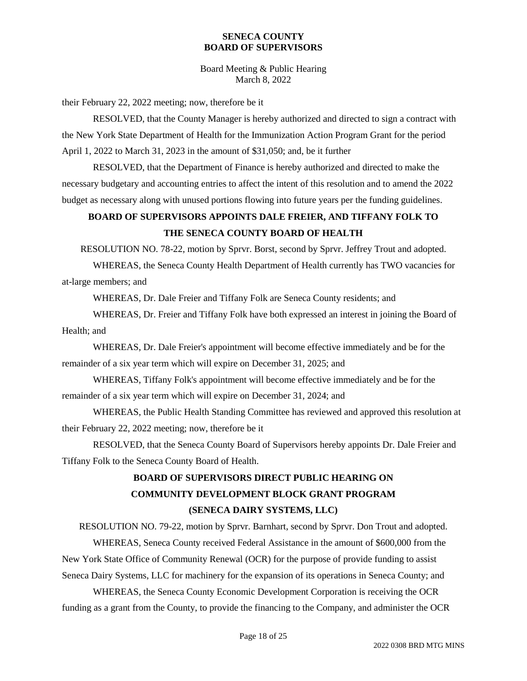Board Meeting & Public Hearing March 8, 2022

their February 22, 2022 meeting; now, therefore be it

RESOLVED, that the County Manager is hereby authorized and directed to sign a contract with the New York State Department of Health for the Immunization Action Program Grant for the period April 1, 2022 to March 31, 2023 in the amount of \$31,050; and, be it further

RESOLVED, that the Department of Finance is hereby authorized and directed to make the necessary budgetary and accounting entries to affect the intent of this resolution and to amend the 2022 budget as necessary along with unused portions flowing into future years per the funding guidelines.

### **BOARD OF SUPERVISORS APPOINTS DALE FREIER, AND TIFFANY FOLK TO THE SENECA COUNTY BOARD OF HEALTH**

RESOLUTION NO. 78-22, motion by Sprvr. Borst, second by Sprvr. Jeffrey Trout and adopted.

WHEREAS, the Seneca County Health Department of Health currently has TWO vacancies for at-large members; and

WHEREAS, Dr. Dale Freier and Tiffany Folk are Seneca County residents; and

WHEREAS, Dr. Freier and Tiffany Folk have both expressed an interest in joining the Board of Health; and

WHEREAS, Dr. Dale Freier's appointment will become effective immediately and be for the remainder of a six year term which will expire on December 31, 2025; and

WHEREAS, Tiffany Folk's appointment will become effective immediately and be for the remainder of a six year term which will expire on December 31, 2024; and

WHEREAS, the Public Health Standing Committee has reviewed and approved this resolution at their February 22, 2022 meeting; now, therefore be it

RESOLVED, that the Seneca County Board of Supervisors hereby appoints Dr. Dale Freier and Tiffany Folk to the Seneca County Board of Health.

# **BOARD OF SUPERVISORS DIRECT PUBLIC HEARING ON COMMUNITY DEVELOPMENT BLOCK GRANT PROGRAM (SENECA DAIRY SYSTEMS, LLC)**

RESOLUTION NO. 79-22, motion by Sprvr. Barnhart, second by Sprvr. Don Trout and adopted. WHEREAS, Seneca County received Federal Assistance in the amount of \$600,000 from the

New York State Office of Community Renewal (OCR) for the purpose of provide funding to assist

Seneca Dairy Systems, LLC for machinery for the expansion of its operations in Seneca County; and

WHEREAS, the Seneca County Economic Development Corporation is receiving the OCR funding as a grant from the County, to provide the financing to the Company, and administer the OCR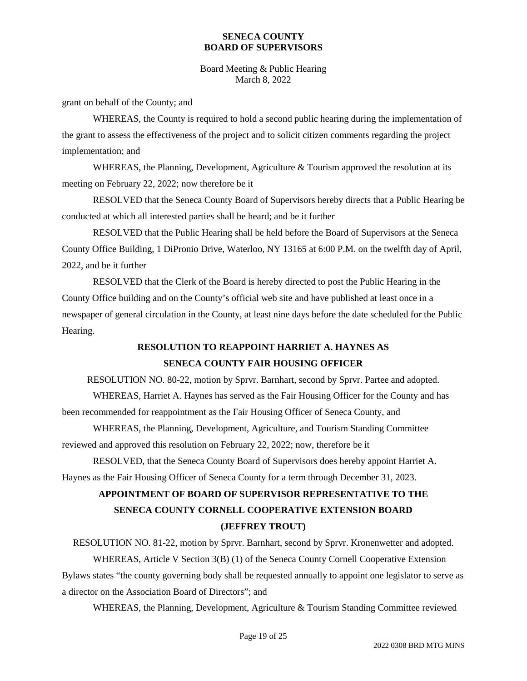Board Meeting & Public Hearing March 8, 2022

grant on behalf of the County; and

WHEREAS, the County is required to hold a second public hearing during the implementation of the grant to assess the effectiveness of the project and to solicit citizen comments regarding the project implementation; and

WHEREAS, the Planning, Development, Agriculture  $\&$  Tourism approved the resolution at its meeting on February 22, 2022; now therefore be it

RESOLVED that the Seneca County Board of Supervisors hereby directs that a Public Hearing be conducted at which all interested parties shall be heard; and be it further

RESOLVED that the Public Hearing shall be held before the Board of Supervisors at the Seneca County Office Building, 1 DiPronio Drive, Waterloo, NY 13165 at 6:00 P.M. on the twelfth day of April, 2022, and be it further

RESOLVED that the Clerk of the Board is hereby directed to post the Public Hearing in the County Office building and on the County's official web site and have published at least once in a newspaper of general circulation in the County, at least nine days before the date scheduled for the Public Hearing.

## **RESOLUTION TO REAPPOINT HARRIET A. HAYNES AS SENECA COUNTY FAIR HOUSING OFFICER**

RESOLUTION NO. 80-22, motion by Sprvr. Barnhart, second by Sprvr. Partee and adopted.

WHEREAS, Harriet A. Haynes has served as the Fair Housing Officer for the County and has been recommended for reappointment as the Fair Housing Officer of Seneca County, and

WHEREAS, the Planning, Development, Agriculture, and Tourism Standing Committee reviewed and approved this resolution on February 22, 2022; now, therefore be it

RESOLVED, that the Seneca County Board of Supervisors does hereby appoint Harriet A. Haynes as the Fair Housing Officer of Seneca County for a term through December 31, 2023.

## **APPOINTMENT OF BOARD OF SUPERVISOR REPRESENTATIVE TO THE SENECA COUNTY CORNELL COOPERATIVE EXTENSION BOARD (JEFFREY TROUT)**

RESOLUTION NO. 81-22, motion by Sprvr. Barnhart, second by Sprvr. Kronenwetter and adopted. WHEREAS, Article V Section 3(B) (1) of the Seneca County Cornell Cooperative Extension Bylaws states "the county governing body shall be requested annually to appoint one legislator to serve as a director on the Association Board of Directors"; and

WHEREAS, the Planning, Development, Agriculture & Tourism Standing Committee reviewed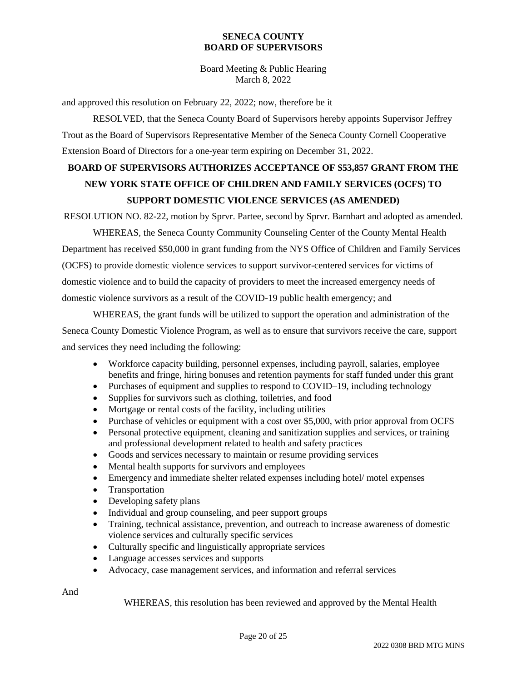Board Meeting & Public Hearing March 8, 2022

and approved this resolution on February 22, 2022; now, therefore be it

RESOLVED, that the Seneca County Board of Supervisors hereby appoints Supervisor Jeffrey Trout as the Board of Supervisors Representative Member of the Seneca County Cornell Cooperative Extension Board of Directors for a one-year term expiring on December 31, 2022.

# **BOARD OF SUPERVISORS AUTHORIZES ACCEPTANCE OF \$53,857 GRANT FROM THE NEW YORK STATE OFFICE OF CHILDREN AND FAMILY SERVICES (OCFS) TO SUPPORT DOMESTIC VIOLENCE SERVICES (AS AMENDED)**

RESOLUTION NO. 82-22, motion by Sprvr. Partee, second by Sprvr. Barnhart and adopted as amended.

WHEREAS, the Seneca County Community Counseling Center of the County Mental Health Department has received \$50,000 in grant funding from the NYS Office of Children and Family Services (OCFS) to provide domestic violence services to support survivor-centered services for victims of domestic violence and to build the capacity of providers to meet the increased emergency needs of domestic violence survivors as a result of the COVID-19 public health emergency; and

WHEREAS, the grant funds will be utilized to support the operation and administration of the Seneca County Domestic Violence Program, as well as to ensure that survivors receive the care, support and services they need including the following:

- Workforce capacity building, personnel expenses, including payroll, salaries, employee benefits and fringe, hiring bonuses and retention payments for staff funded under this grant
- Purchases of equipment and supplies to respond to COVID–19, including technology
- Supplies for survivors such as clothing, toiletries, and food
- Mortgage or rental costs of the facility, including utilities
- Purchase of vehicles or equipment with a cost over \$5,000, with prior approval from OCFS
- Personal protective equipment, cleaning and sanitization supplies and services, or training and professional development related to health and safety practices
- Goods and services necessary to maintain or resume providing services
- Mental health supports for survivors and employees
- Emergency and immediate shelter related expenses including hotel/ motel expenses
- Transportation
- Developing safety plans
- Individual and group counseling, and peer support groups
- Training, technical assistance, prevention, and outreach to increase awareness of domestic violence services and culturally specific services
- Culturally specific and linguistically appropriate services
- Language accesses services and supports
- Advocacy, case management services, and information and referral services

And

WHEREAS, this resolution has been reviewed and approved by the Mental Health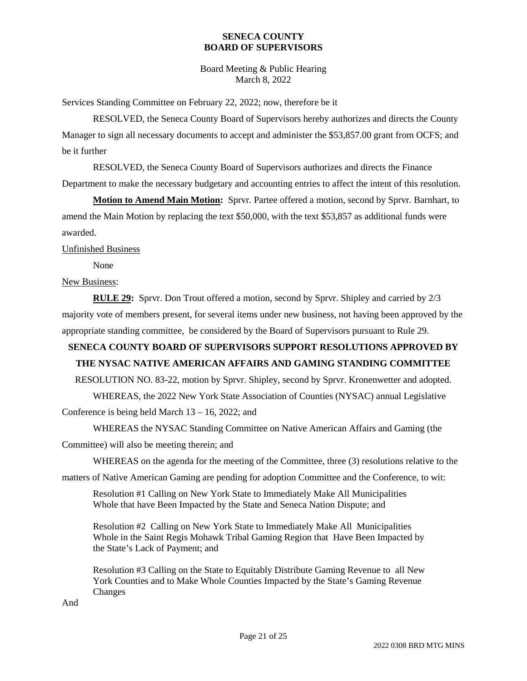Board Meeting & Public Hearing March 8, 2022

Services Standing Committee on February 22, 2022; now, therefore be it

RESOLVED, the Seneca County Board of Supervisors hereby authorizes and directs the County Manager to sign all necessary documents to accept and administer the \$53,857.00 grant from OCFS; and be it further

RESOLVED, the Seneca County Board of Supervisors authorizes and directs the Finance Department to make the necessary budgetary and accounting entries to affect the intent of this resolution.

**Motion to Amend Main Motion:** Sprvr. Partee offered a motion, second by Sprvr. Barnhart, to amend the Main Motion by replacing the text \$50,000, with the text \$53,857 as additional funds were awarded.

Unfinished Business

None

### New Business:

**RULE 29:** Sprvr. Don Trout offered a motion, second by Sprvr. Shipley and carried by 2/3 majority vote of members present, for several items under new business, not having been approved by the appropriate standing committee, be considered by the Board of Supervisors pursuant to Rule 29.

# **SENECA COUNTY BOARD OF SUPERVISORS SUPPORT RESOLUTIONS APPROVED BY**

# **THE NYSAC NATIVE AMERICAN AFFAIRS AND GAMING STANDING COMMITTEE**

RESOLUTION NO. 83-22, motion by Sprvr. Shipley, second by Sprvr. Kronenwetter and adopted.

WHEREAS, the 2022 New York State Association of Counties (NYSAC) annual Legislative

Conference is being held March 13 – 16, 2022; and

WHEREAS the NYSAC Standing Committee on Native American Affairs and Gaming (the

Committee) will also be meeting therein; and

WHEREAS on the agenda for the meeting of the Committee, three (3) resolutions relative to the

matters of Native American Gaming are pending for adoption Committee and the Conference, to wit:

Resolution #1 Calling on New York State to Immediately Make All Municipalities Whole that have Been Impacted by the State and Seneca Nation Dispute; and

Resolution #2 Calling on New York State to Immediately Make All Municipalities Whole in the Saint Regis Mohawk Tribal Gaming Region that Have Been Impacted by the State's Lack of Payment; and

Resolution #3 Calling on the State to Equitably Distribute Gaming Revenue to all New York Counties and to Make Whole Counties Impacted by the State's Gaming Revenue Changes

And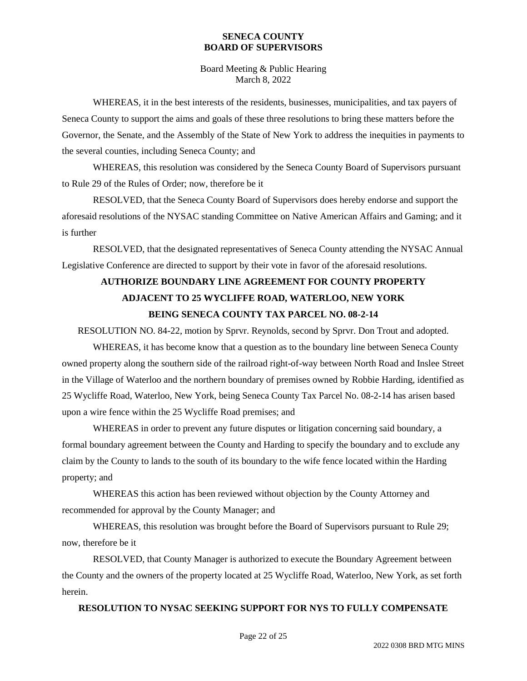Board Meeting & Public Hearing March 8, 2022

WHEREAS, it in the best interests of the residents, businesses, municipalities, and tax payers of Seneca County to support the aims and goals of these three resolutions to bring these matters before the Governor, the Senate, and the Assembly of the State of New York to address the inequities in payments to the several counties, including Seneca County; and

WHEREAS, this resolution was considered by the Seneca County Board of Supervisors pursuant to Rule 29 of the Rules of Order; now, therefore be it

RESOLVED, that the Seneca County Board of Supervisors does hereby endorse and support the aforesaid resolutions of the NYSAC standing Committee on Native American Affairs and Gaming; and it is further

RESOLVED, that the designated representatives of Seneca County attending the NYSAC Annual Legislative Conference are directed to support by their vote in favor of the aforesaid resolutions.

# **AUTHORIZE BOUNDARY LINE AGREEMENT FOR COUNTY PROPERTY ADJACENT TO 25 WYCLIFFE ROAD, WATERLOO, NEW YORK BEING SENECA COUNTY TAX PARCEL NO. 08-2-14**

RESOLUTION NO. 84-22, motion by Sprvr. Reynolds, second by Sprvr. Don Trout and adopted.

WHEREAS, it has become know that a question as to the boundary line between Seneca County owned property along the southern side of the railroad right-of-way between North Road and Inslee Street in the Village of Waterloo and the northern boundary of premises owned by Robbie Harding, identified as 25 Wycliffe Road, Waterloo, New York, being Seneca County Tax Parcel No. 08-2-14 has arisen based upon a wire fence within the 25 Wycliffe Road premises; and

WHEREAS in order to prevent any future disputes or litigation concerning said boundary, a formal boundary agreement between the County and Harding to specify the boundary and to exclude any claim by the County to lands to the south of its boundary to the wife fence located within the Harding property; and

WHEREAS this action has been reviewed without objection by the County Attorney and recommended for approval by the County Manager; and

WHEREAS, this resolution was brought before the Board of Supervisors pursuant to Rule 29; now, therefore be it

RESOLVED, that County Manager is authorized to execute the Boundary Agreement between the County and the owners of the property located at 25 Wycliffe Road, Waterloo, New York, as set forth herein.

### **RESOLUTION TO NYSAC SEEKING SUPPORT FOR NYS TO FULLY COMPENSATE**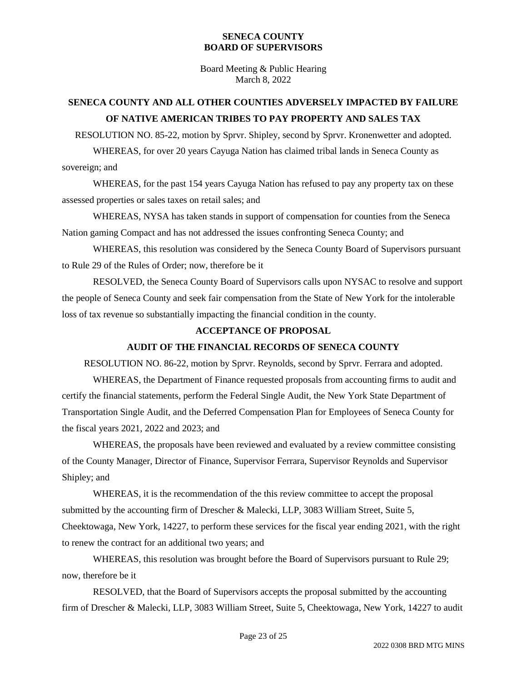Board Meeting & Public Hearing March 8, 2022

### **SENECA COUNTY AND ALL OTHER COUNTIES ADVERSELY IMPACTED BY FAILURE OF NATIVE AMERICAN TRIBES TO PAY PROPERTY AND SALES TAX**

RESOLUTION NO. 85-22, motion by Sprvr. Shipley, second by Sprvr. Kronenwetter and adopted.

WHEREAS, for over 20 years Cayuga Nation has claimed tribal lands in Seneca County as sovereign; and

WHEREAS, for the past 154 years Cayuga Nation has refused to pay any property tax on these assessed properties or sales taxes on retail sales; and

WHEREAS, NYSA has taken stands in support of compensation for counties from the Seneca Nation gaming Compact and has not addressed the issues confronting Seneca County; and

WHEREAS, this resolution was considered by the Seneca County Board of Supervisors pursuant to Rule 29 of the Rules of Order; now, therefore be it

RESOLVED, the Seneca County Board of Supervisors calls upon NYSAC to resolve and support the people of Seneca County and seek fair compensation from the State of New York for the intolerable loss of tax revenue so substantially impacting the financial condition in the county.

### **ACCEPTANCE OF PROPOSAL**

### **AUDIT OF THE FINANCIAL RECORDS OF SENECA COUNTY**

RESOLUTION NO. 86-22, motion by Sprvr. Reynolds, second by Sprvr. Ferrara and adopted.

WHEREAS, the Department of Finance requested proposals from accounting firms to audit and certify the financial statements, perform the Federal Single Audit, the New York State Department of Transportation Single Audit, and the Deferred Compensation Plan for Employees of Seneca County for the fiscal years 2021, 2022 and 2023; and

WHEREAS, the proposals have been reviewed and evaluated by a review committee consisting of the County Manager, Director of Finance, Supervisor Ferrara, Supervisor Reynolds and Supervisor Shipley; and

WHEREAS, it is the recommendation of the this review committee to accept the proposal submitted by the accounting firm of Drescher & Malecki, LLP, 3083 William Street, Suite 5, Cheektowaga, New York, 14227, to perform these services for the fiscal year ending 2021, with the right to renew the contract for an additional two years; and

WHEREAS, this resolution was brought before the Board of Supervisors pursuant to Rule 29; now, therefore be it

RESOLVED, that the Board of Supervisors accepts the proposal submitted by the accounting firm of Drescher & Malecki, LLP, 3083 William Street, Suite 5, Cheektowaga, New York, 14227 to audit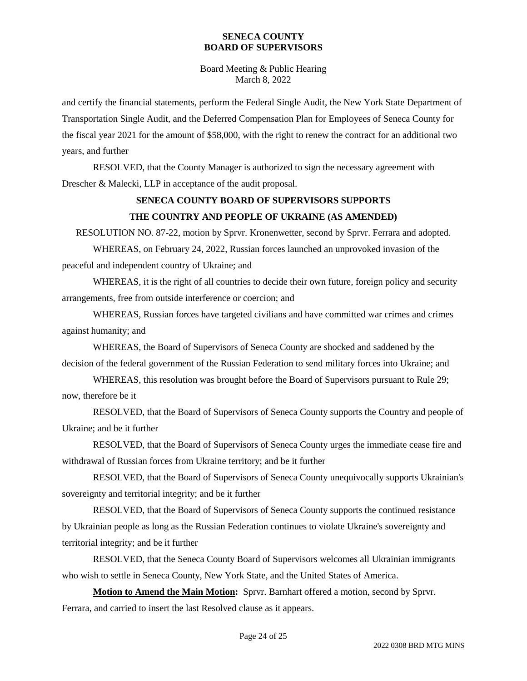Board Meeting & Public Hearing March 8, 2022

and certify the financial statements, perform the Federal Single Audit, the New York State Department of Transportation Single Audit, and the Deferred Compensation Plan for Employees of Seneca County for the fiscal year 2021 for the amount of \$58,000, with the right to renew the contract for an additional two years, and further

RESOLVED, that the County Manager is authorized to sign the necessary agreement with Drescher & Malecki, LLP in acceptance of the audit proposal.

### **SENECA COUNTY BOARD OF SUPERVISORS SUPPORTS THE COUNTRY AND PEOPLE OF UKRAINE (AS AMENDED)**

RESOLUTION NO. 87-22, motion by Sprvr. Kronenwetter, second by Sprvr. Ferrara and adopted.

WHEREAS, on February 24, 2022, Russian forces launched an unprovoked invasion of the peaceful and independent country of Ukraine; and

WHEREAS, it is the right of all countries to decide their own future, foreign policy and security arrangements, free from outside interference or coercion; and

WHEREAS, Russian forces have targeted civilians and have committed war crimes and crimes against humanity; and

WHEREAS, the Board of Supervisors of Seneca County are shocked and saddened by the decision of the federal government of the Russian Federation to send military forces into Ukraine; and

WHEREAS, this resolution was brought before the Board of Supervisors pursuant to Rule 29; now, therefore be it

RESOLVED, that the Board of Supervisors of Seneca County supports the Country and people of Ukraine; and be it further

RESOLVED, that the Board of Supervisors of Seneca County urges the immediate cease fire and withdrawal of Russian forces from Ukraine territory; and be it further

RESOLVED, that the Board of Supervisors of Seneca County unequivocally supports Ukrainian's sovereignty and territorial integrity; and be it further

RESOLVED, that the Board of Supervisors of Seneca County supports the continued resistance by Ukrainian people as long as the Russian Federation continues to violate Ukraine's sovereignty and territorial integrity; and be it further

RESOLVED, that the Seneca County Board of Supervisors welcomes all Ukrainian immigrants who wish to settle in Seneca County, New York State, and the United States of America.

**Motion to Amend the Main Motion:** Sprvr. Barnhart offered a motion, second by Sprvr. Ferrara, and carried to insert the last Resolved clause as it appears.